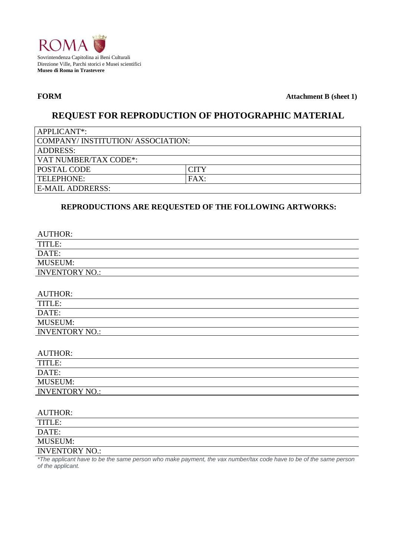

**FORM Attachment B (sheet 1)**

# **REQUEST FOR REPRODUCTION OF PHOTOGRAPHIC MATERIAL**

| APPLICANT*:                      |             |  |  |  |  |
|----------------------------------|-------------|--|--|--|--|
| COMPANY/INSTITUTION/ASSOCIATION: |             |  |  |  |  |
| <b>ADDRESS:</b>                  |             |  |  |  |  |
| VAT NUMBER/TAX CODE*:            |             |  |  |  |  |
| <b>POSTAL CODE</b>               | <b>CITY</b> |  |  |  |  |
| TELEPHONE:                       | FAX:        |  |  |  |  |
| E-MAIL ADDRERSS:                 |             |  |  |  |  |

# **REPRODUCTIONS ARE REQUESTED OF THE FOLLOWING ARTWORKS:**

| <b>AUTHOR:</b>        |
|-----------------------|
| TITLE:                |
| DATE:                 |
| <b>MUSEUM:</b>        |
| <b>INVENTORY NO.:</b> |
|                       |
| <b>AUTHOR:</b>        |
| TITLE:                |
| DATE:                 |
| <b>MUSEUM:</b>        |
| <b>INVENTORY NO.:</b> |
|                       |

| <b>AUTHOR:</b> |
|----------------|
|----------------|

| 110 1110 <b>11.</b>   |  |
|-----------------------|--|
| TITLE:                |  |
| DATE:                 |  |
| <b>MUSEUM:</b>        |  |
| <b>INVENTORY NO.:</b> |  |

| <b>AUTHOR:</b>        |  |
|-----------------------|--|
| TITLE:                |  |
| DATE:                 |  |
| <b>MUSEUM:</b>        |  |
| <b>INVENTORY NO.:</b> |  |

*\*The applicant have to be the same person who make payment, the vax number/tax code have to be of the same person of the applicant.*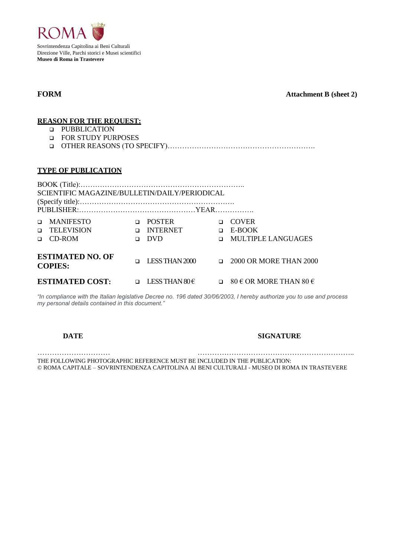

**FORM Attachment B (sheet 2)**

### **REASON FOR THE REQUEST:**

- **D** PUBBLICATION
- FOR STUDY PURPOSES
- OTHER REASONS (TO SPECIFY)…………………………………………………….

### **TYPE OF PUBLICATION**

| SCIENTIFIC MAGAZINE/BULLETIN/DAILY/PERIODICAL |                                                       |        |                                           |  |                                                            |  |  |  |
|-----------------------------------------------|-------------------------------------------------------|--------|-------------------------------------------|--|------------------------------------------------------------|--|--|--|
|                                               | <b>D</b> MANIFESTO<br><b>D</b> TELEVISION<br>□ CD-ROM | n.     | <b>POSTER</b><br><b>Q</b> INTERNET<br>DVD |  | <b>COVER</b><br>$E-BOOK$<br><b>INULTIPLE LANGUAGES</b>     |  |  |  |
| <b>ESTIMATED NO. OF</b><br><b>COPIES:</b>     |                                                       | $\Box$ |                                           |  | LESS THAN 2000 $\qquad \qquad \Box$ 2000 OR MORE THAN 2000 |  |  |  |
|                                               | <b>ESTIMATED COST:</b>                                |        | $\Box$ LESS THAN 80 $\epsilon$            |  | □ 80 € OR MORE THAN 80 €                                   |  |  |  |

*"In compliance with the Italian legislative Decree no. 196 dated 30/06/2003, I hereby authorize you to use and process my personal details contained in this document."*

### **DATE SIGNATURE**

………………………… ……………………………………………………….. THE FOLLOWING PHOTOGRAPHIC REFERENCE MUST BE INCLUDED IN THE PUBLICATION: © ROMA CAPITALE – SOVRINTENDENZA CAPITOLINA AI BENI CULTURALI - MUSEO DI ROMA IN TRASTEVERE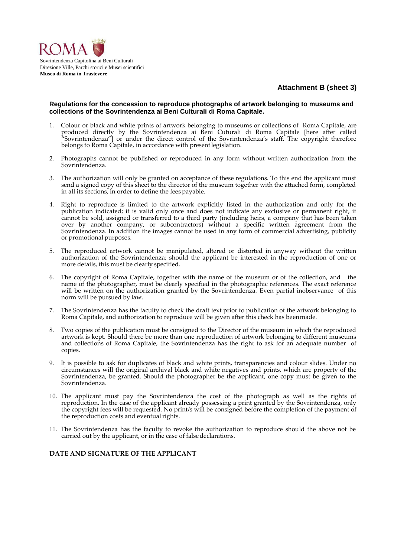

## **Attachment B (sheet 3)**

### **Regulations for the concession to reproduce photographs of artwork belonging to museums and collections of the Sovrintendenza ai Beni Culturali di Roma Capitale.**

- 1. Colour or black and white prints of artwork belonging to museums or collections of Roma Capitale, are produced directly by the Sovrintendenza ai Beni Cuturali di Roma Capitale [here after called "Sovrintendenza"] or under the direct control of the Sovrintendenza's staff. The copyright therefore belongs to Roma Capitale, in accordance with present legislation.
- 2. Photographs cannot be published or reproduced in any form without written authorization from the Sovrintendenza.
- 3. The authorization will only be granted on acceptance of these regulations. To this end the applicant must send a signed copy of this sheet to the director of the museum together with the attached form, completed in all its sections, in order to define the fees payable.
- 4. Right to reproduce is limited to the artwork explicitly listed in the authorization and only for the publication indicated; it is valid only once and does not indicate any exclusive or permanent right, it cannot be sold, assigned or transferred to a third party (including heirs, a company that has been taken over by another company, or subcontractors) without a specific written agreement from the Sovrintendenza. In addition the images cannot be used in any form of commercial advertising, publicity or promotional purposes.
- 5. The reproduced artwork cannot be manipulated, altered or distorted in anyway without the written authorization of the Sovrintendenza; should the applicant be interested in the reproduction of one or more details, this must be clearly specified.
- 6. The copyright of Roma Capitale, together with the name of the museum or of the collection, and the name of the photographer, must be clearly specified in the photographic references. The exact reference will be written on the authorization granted by the Sovrintendenza. Even partial inobservance of this norm will be pursued by law.
- 7. The Sovrintendenza has the faculty to check the draft text prior to publication of the artwork belonging to Roma Capitale, and authorization to reproduce will be given after this check has beenmade.
- Two copies of the publication must be consigned to the Director of the museum in which the reproduced artwork is kept. Should there be more than one reproduction of artwork belonging to different museums and collections of Roma Capitale, the Sovrintendenza has the right to ask for an adequate number of copies.
- 9. It is possible to ask for duplicates of black and white prints, transparencies and colour slides. Under no circumstances will the original archival black and white negatives and prints, which are property of the Sovrintendenza, be granted. Should the photographer be the applicant, one copy must be given to the Sovrintendenza.
- 10. The applicant must pay the Sovrintendenza the cost of the photograph as well as the rights of reproduction. In the case of the applicant already possessing a print granted by the Sovrintendenza, only the copyright fees will be requested. No print/s will be consigned before the completion of the payment of the reproduction costs and eventual rights.
- 11. The Sovrintendenza has the faculty to revoke the authorization to reproduce should the above not be carried out by the applicant, or in the case of false declarations.

### **DATE AND SIGNATURE OF THE APPLICANT**